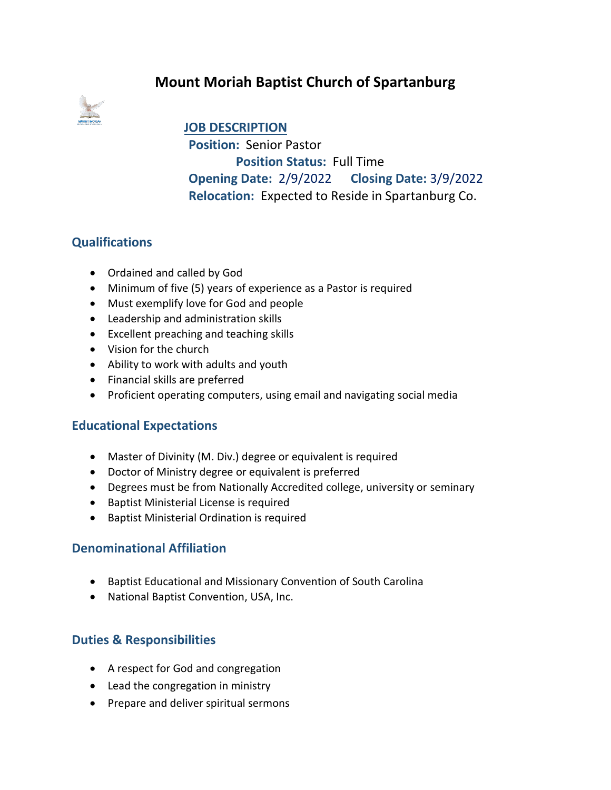# **Mount Moriah Baptist Church of Spartanburg**



**JOB DESCRIPTION Position:** Senior Pastor  **Position Status:** Full Time **Opening Date:** 2/9/2022 **Closing Date:** 3/9/2022 **Relocation:** Expected to Reside in Spartanburg Co.

# **Qualifications**

- Ordained and called by God
- Minimum of five (5) years of experience as a Pastor is required
- Must exemplify love for God and people
- Leadership and administration skills
- Excellent preaching and teaching skills
- Vision for the church
- Ability to work with adults and youth
- Financial skills are preferred
- Proficient operating computers, using email and navigating social media

## **Educational Expectations**

- Master of Divinity (M. Div.) degree or equivalent is required
- Doctor of Ministry degree or equivalent is preferred
- Degrees must be from Nationally Accredited college, university or seminary
- Baptist Ministerial License is required
- Baptist Ministerial Ordination is required

#### **Denominational Affiliation**

- Baptist Educational and Missionary Convention of South Carolina
- National Baptist Convention, USA, Inc.

## **Duties & Responsibilities**

- A respect for God and congregation
- Lead the congregation in ministry
- Prepare and deliver spiritual sermons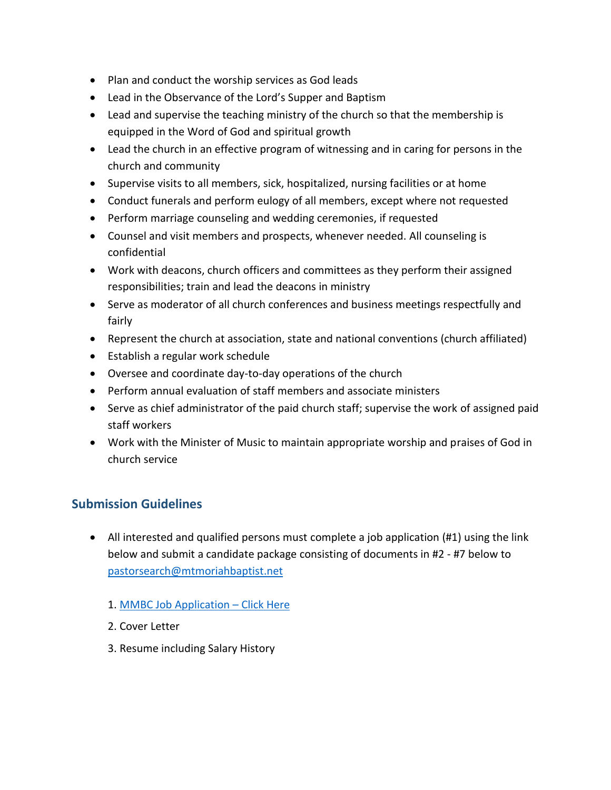- Plan and conduct the worship services as God leads
- Lead in the Observance of the Lord's Supper and Baptism
- Lead and supervise the teaching ministry of the church so that the membership is equipped in the Word of God and spiritual growth
- Lead the church in an effective program of witnessing and in caring for persons in the church and community
- Supervise visits to all members, sick, hospitalized, nursing facilities or at home
- Conduct funerals and perform eulogy of all members, except where not requested
- Perform marriage counseling and wedding ceremonies, if requested
- Counsel and visit members and prospects, whenever needed. All counseling is confidential
- Work with deacons, church officers and committees as they perform their assigned responsibilities; train and lead the deacons in ministry
- Serve as moderator of all church conferences and business meetings respectfully and fairly
- Represent the church at association, state and national conventions (church affiliated)
- Establish a regular work schedule
- Oversee and coordinate day-to-day operations of the church
- Perform annual evaluation of staff members and associate ministers
- Serve as chief administrator of the paid church staff; supervise the work of assigned paid staff workers
- Work with the Minister of Music to maintain appropriate worship and praises of God in church service

# **Submission Guidelines**

- All interested and qualified persons must complete a job application (#1) using the link below and submit a candidate package consisting of documents in #2 - #7 below to [pastorsearch@mtmoriahbaptist.net](mailto:pastorsearch@mtmoriahbaptist.net)
	- 1. [MMBC Job Application](https://forms.gle/wYoTg9kXiyLfrwa59) Click Here
	- 2. Cover Letter
	- 3. Resume including Salary History